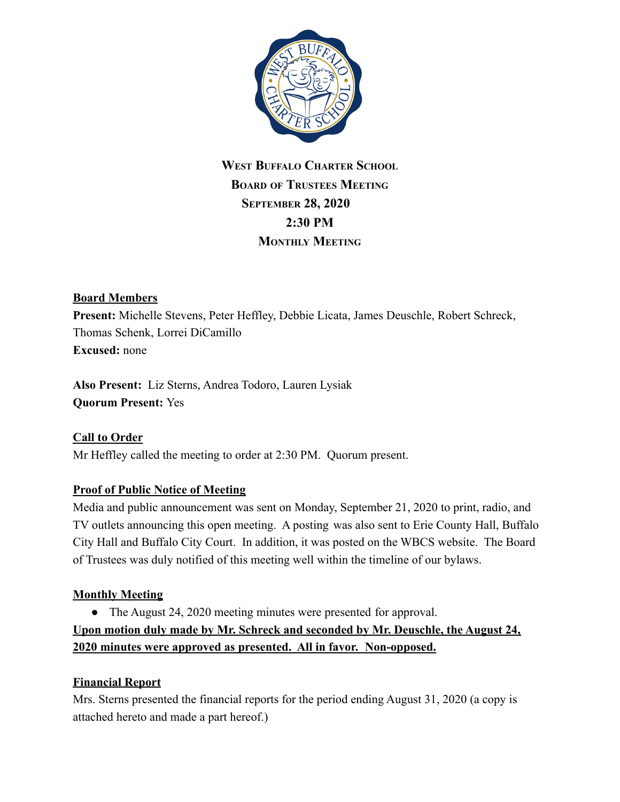

# **WEST BUFFALO CHARTER SCHOOL BOARD OF TRUSTEES MEETING SEPTEMBER 28, 2020 2:30 PM MONTHLY MEETING**

#### **Board Members**

**Present:** Michelle Stevens, Peter Heffley, Debbie Licata, James Deuschle, Robert Schreck, Thomas Schenk, Lorrei DiCamillo **Excused:** none

**Also Present:** Liz Sterns, Andrea Todoro, Lauren Lysiak **Quorum Present:** Yes

## **Call to Order**

Mr Heffley called the meeting to order at 2:30 PM. Quorum present.

## **Proof of Public Notice of Meeting**

Media and public announcement was sent on Monday, September 21, 2020 to print, radio, and TV outlets announcing this open meeting. A posting was also sent to Erie County Hall, Buffalo City Hall and Buffalo City Court. In addition, it was posted on the WBCS website. The Board of Trustees was duly notified of this meeting well within the timeline of our bylaws.

## **Monthly Meeting**

• The August 24, 2020 meeting minutes were presented for approval.

**Upon motion duly made by Mr. Schreck and seconded by Mr. Deuschle, the August 24, 2020 minutes were approved as presented. All in favor. Non-opposed.**

#### **Financial Report**

Mrs. Sterns presented the financial reports for the period ending August 31, 2020 (a copy is attached hereto and made a part hereof.)